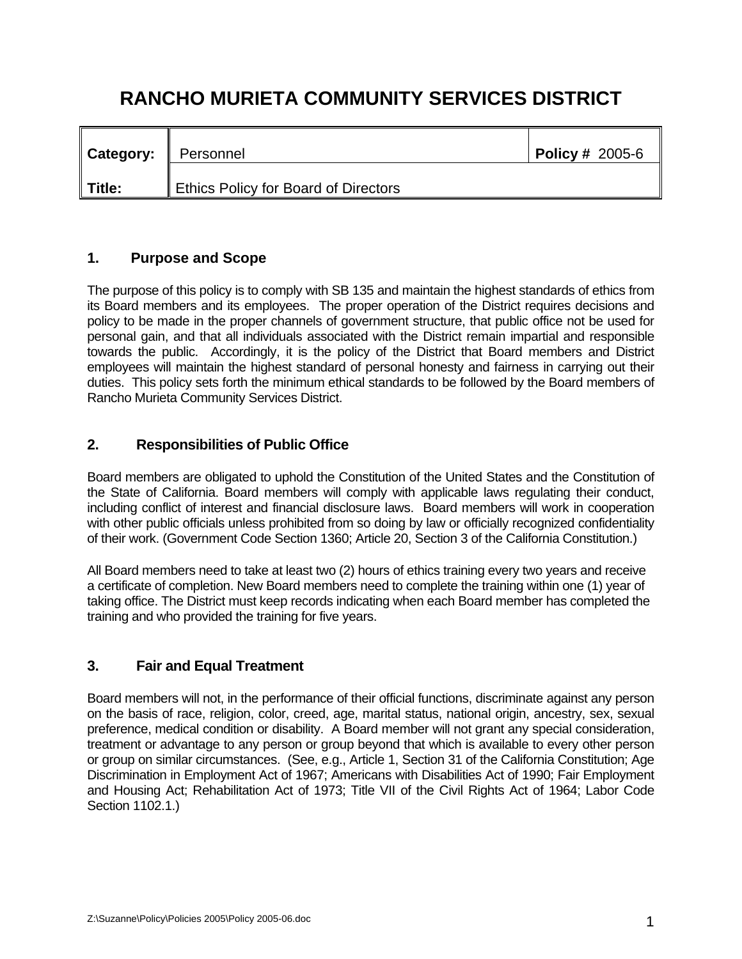# **RANCHO MURIETA COMMUNITY SERVICES DISTRICT**

| <b>Category:</b> | Personnel                            | <b>Policy # 2005-6</b> |
|------------------|--------------------------------------|------------------------|
| Title:           | Ethics Policy for Board of Directors |                        |

## **1. Purpose and Scope**

The purpose of this policy is to comply with SB 135 and maintain the highest standards of ethics from its Board members and its employees. The proper operation of the District requires decisions and policy to be made in the proper channels of government structure, that public office not be used for personal gain, and that all individuals associated with the District remain impartial and responsible towards the public. Accordingly, it is the policy of the District that Board members and District employees will maintain the highest standard of personal honesty and fairness in carrying out their duties. This policy sets forth the minimum ethical standards to be followed by the Board members of Rancho Murieta Community Services District.

# **2. Responsibilities of Public Office**

Board members are obligated to uphold the Constitution of the United States and the Constitution of the State of California. Board members will comply with applicable laws regulating their conduct, including conflict of interest and financial disclosure laws. Board members will work in cooperation with other public officials unless prohibited from so doing by law or officially recognized confidentiality of their work. (Government Code Section 1360; Article 20, Section 3 of the California Constitution.)

All Board members need to take at least two (2) hours of ethics training every two years and receive a certificate of completion. New Board members need to complete the training within one (1) year of taking office. The District must keep records indicating when each Board member has completed the training and who provided the training for five years.

# **3. Fair and Equal Treatment**

Board members will not, in the performance of their official functions, discriminate against any person on the basis of race, religion, color, creed, age, marital status, national origin, ancestry, sex, sexual preference, medical condition or disability. A Board member will not grant any special consideration, treatment or advantage to any person or group beyond that which is available to every other person or group on similar circumstances. (See, e.g., Article 1, Section 31 of the California Constitution; Age Discrimination in Employment Act of 1967; Americans with Disabilities Act of 1990; Fair Employment and Housing Act; Rehabilitation Act of 1973; Title VII of the Civil Rights Act of 1964; Labor Code Section 1102.1.)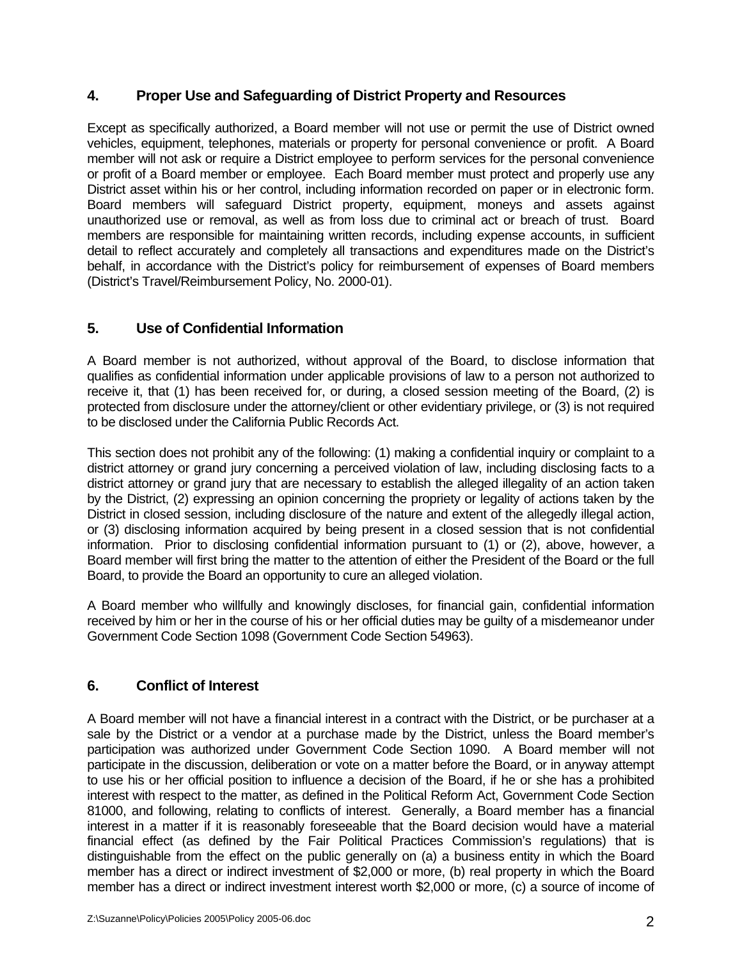#### **4. Proper Use and Safeguarding of District Property and Resources**

Except as specifically authorized, a Board member will not use or permit the use of District owned vehicles, equipment, telephones, materials or property for personal convenience or profit. A Board member will not ask or require a District employee to perform services for the personal convenience or profit of a Board member or employee. Each Board member must protect and properly use any District asset within his or her control, including information recorded on paper or in electronic form. Board members will safeguard District property, equipment, moneys and assets against unauthorized use or removal, as well as from loss due to criminal act or breach of trust. Board members are responsible for maintaining written records, including expense accounts, in sufficient detail to reflect accurately and completely all transactions and expenditures made on the District's behalf, in accordance with the District's policy for reimbursement of expenses of Board members (District's Travel/Reimbursement Policy, No. 2000-01).

# **5. Use of Confidential Information**

A Board member is not authorized, without approval of the Board, to disclose information that qualifies as confidential information under applicable provisions of law to a person not authorized to receive it, that (1) has been received for, or during, a closed session meeting of the Board, (2) is protected from disclosure under the attorney/client or other evidentiary privilege, or (3) is not required to be disclosed under the California Public Records Act.

This section does not prohibit any of the following: (1) making a confidential inquiry or complaint to a district attorney or grand jury concerning a perceived violation of law, including disclosing facts to a district attorney or grand jury that are necessary to establish the alleged illegality of an action taken by the District, (2) expressing an opinion concerning the propriety or legality of actions taken by the District in closed session, including disclosure of the nature and extent of the allegedly illegal action, or (3) disclosing information acquired by being present in a closed session that is not confidential information. Prior to disclosing confidential information pursuant to (1) or (2), above, however, a Board member will first bring the matter to the attention of either the President of the Board or the full Board, to provide the Board an opportunity to cure an alleged violation.

A Board member who willfully and knowingly discloses, for financial gain, confidential information received by him or her in the course of his or her official duties may be guilty of a misdemeanor under Government Code Section 1098 (Government Code Section 54963).

# **6. Conflict of Interest**

A Board member will not have a financial interest in a contract with the District, or be purchaser at a sale by the District or a vendor at a purchase made by the District, unless the Board member's participation was authorized under Government Code Section 1090. A Board member will not participate in the discussion, deliberation or vote on a matter before the Board, or in anyway attempt to use his or her official position to influence a decision of the Board, if he or she has a prohibited interest with respect to the matter, as defined in the Political Reform Act, Government Code Section 81000, and following, relating to conflicts of interest. Generally, a Board member has a financial interest in a matter if it is reasonably foreseeable that the Board decision would have a material financial effect (as defined by the Fair Political Practices Commission's regulations) that is distinguishable from the effect on the public generally on (a) a business entity in which the Board member has a direct or indirect investment of \$2,000 or more, (b) real property in which the Board member has a direct or indirect investment interest worth \$2,000 or more, (c) a source of income of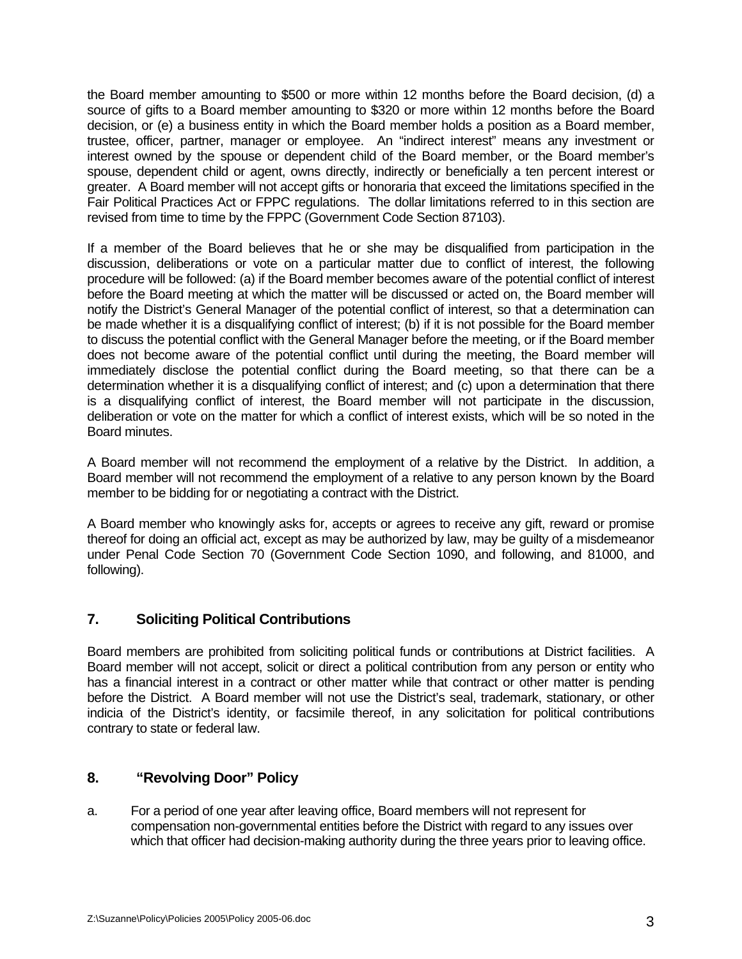the Board member amounting to \$500 or more within 12 months before the Board decision, (d) a source of gifts to a Board member amounting to \$320 or more within 12 months before the Board decision, or (e) a business entity in which the Board member holds a position as a Board member, trustee, officer, partner, manager or employee. An "indirect interest" means any investment or interest owned by the spouse or dependent child of the Board member, or the Board member's spouse, dependent child or agent, owns directly, indirectly or beneficially a ten percent interest or greater. A Board member will not accept gifts or honoraria that exceed the limitations specified in the Fair Political Practices Act or FPPC regulations. The dollar limitations referred to in this section are revised from time to time by the FPPC (Government Code Section 87103).

If a member of the Board believes that he or she may be disqualified from participation in the discussion, deliberations or vote on a particular matter due to conflict of interest, the following procedure will be followed: (a) if the Board member becomes aware of the potential conflict of interest before the Board meeting at which the matter will be discussed or acted on, the Board member will notify the District's General Manager of the potential conflict of interest, so that a determination can be made whether it is a disqualifying conflict of interest; (b) if it is not possible for the Board member to discuss the potential conflict with the General Manager before the meeting, or if the Board member does not become aware of the potential conflict until during the meeting, the Board member will immediately disclose the potential conflict during the Board meeting, so that there can be a determination whether it is a disqualifying conflict of interest; and (c) upon a determination that there is a disqualifying conflict of interest, the Board member will not participate in the discussion, deliberation or vote on the matter for which a conflict of interest exists, which will be so noted in the Board minutes.

A Board member will not recommend the employment of a relative by the District. In addition, a Board member will not recommend the employment of a relative to any person known by the Board member to be bidding for or negotiating a contract with the District.

A Board member who knowingly asks for, accepts or agrees to receive any gift, reward or promise thereof for doing an official act, except as may be authorized by law, may be guilty of a misdemeanor under Penal Code Section 70 (Government Code Section 1090, and following, and 81000, and following).

# **7. Soliciting Political Contributions**

Board members are prohibited from soliciting political funds or contributions at District facilities. A Board member will not accept, solicit or direct a political contribution from any person or entity who has a financial interest in a contract or other matter while that contract or other matter is pending before the District. A Board member will not use the District's seal, trademark, stationary, or other indicia of the District's identity, or facsimile thereof, in any solicitation for political contributions contrary to state or federal law.

# **8. "Revolving Door" Policy**

a. For a period of one year after leaving office, Board members will not represent for compensation non-governmental entities before the District with regard to any issues over which that officer had decision-making authority during the three years prior to leaving office.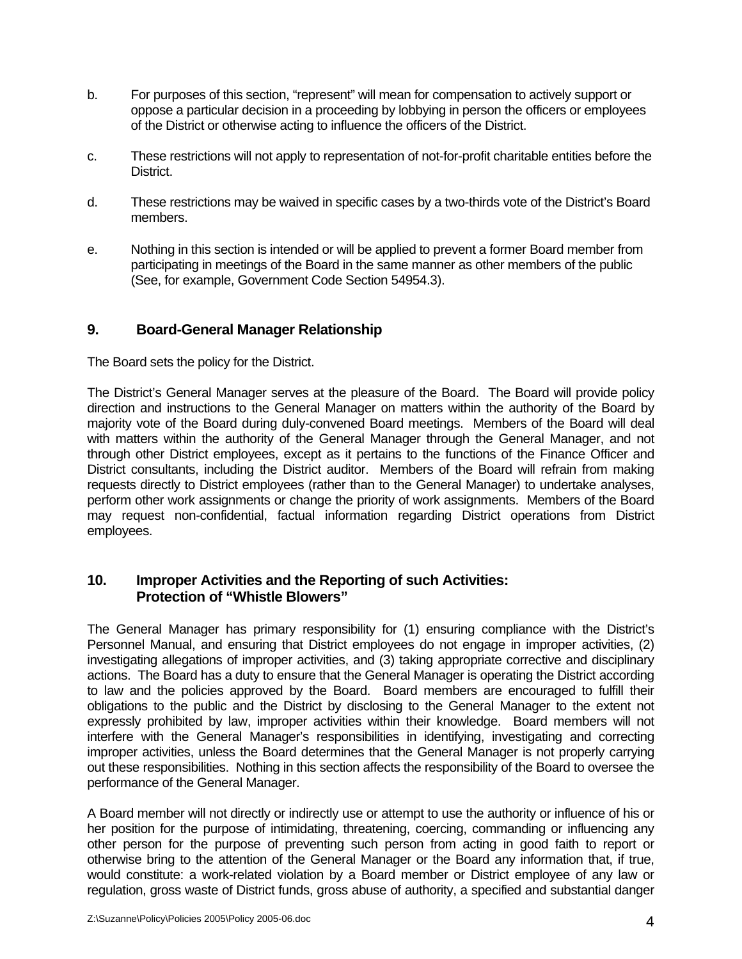- b. For purposes of this section, "represent" will mean for compensation to actively support or oppose a particular decision in a proceeding by lobbying in person the officers or employees of the District or otherwise acting to influence the officers of the District.
- c. These restrictions will not apply to representation of not-for-profit charitable entities before the District.
- d. These restrictions may be waived in specific cases by a two-thirds vote of the District's Board members.
- e. Nothing in this section is intended or will be applied to prevent a former Board member from participating in meetings of the Board in the same manner as other members of the public (See, for example, Government Code Section 54954.3).

#### **9. Board-General Manager Relationship**

The Board sets the policy for the District.

The District's General Manager serves at the pleasure of the Board. The Board will provide policy direction and instructions to the General Manager on matters within the authority of the Board by majority vote of the Board during duly-convened Board meetings. Members of the Board will deal with matters within the authority of the General Manager through the General Manager, and not through other District employees, except as it pertains to the functions of the Finance Officer and District consultants, including the District auditor. Members of the Board will refrain from making requests directly to District employees (rather than to the General Manager) to undertake analyses, perform other work assignments or change the priority of work assignments. Members of the Board may request non-confidential, factual information regarding District operations from District employees.

#### **10. Improper Activities and the Reporting of such Activities: Protection of "Whistle Blowers"**

The General Manager has primary responsibility for (1) ensuring compliance with the District's Personnel Manual, and ensuring that District employees do not engage in improper activities, (2) investigating allegations of improper activities, and (3) taking appropriate corrective and disciplinary actions. The Board has a duty to ensure that the General Manager is operating the District according to law and the policies approved by the Board. Board members are encouraged to fulfill their obligations to the public and the District by disclosing to the General Manager to the extent not expressly prohibited by law, improper activities within their knowledge. Board members will not interfere with the General Manager's responsibilities in identifying, investigating and correcting improper activities, unless the Board determines that the General Manager is not properly carrying out these responsibilities. Nothing in this section affects the responsibility of the Board to oversee the performance of the General Manager.

A Board member will not directly or indirectly use or attempt to use the authority or influence of his or her position for the purpose of intimidating, threatening, coercing, commanding or influencing any other person for the purpose of preventing such person from acting in good faith to report or otherwise bring to the attention of the General Manager or the Board any information that, if true, would constitute: a work-related violation by a Board member or District employee of any law or regulation, gross waste of District funds, gross abuse of authority, a specified and substantial danger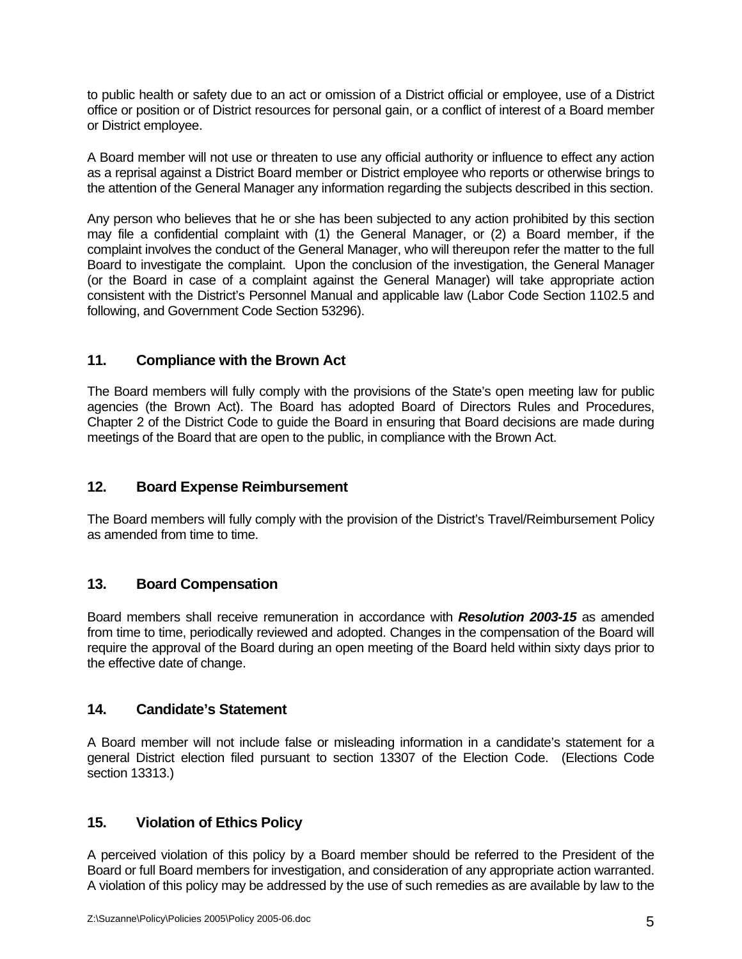to public health or safety due to an act or omission of a District official or employee, use of a District office or position or of District resources for personal gain, or a conflict of interest of a Board member or District employee.

A Board member will not use or threaten to use any official authority or influence to effect any action as a reprisal against a District Board member or District employee who reports or otherwise brings to the attention of the General Manager any information regarding the subjects described in this section.

Any person who believes that he or she has been subjected to any action prohibited by this section may file a confidential complaint with (1) the General Manager, or (2) a Board member, if the complaint involves the conduct of the General Manager, who will thereupon refer the matter to the full Board to investigate the complaint. Upon the conclusion of the investigation, the General Manager (or the Board in case of a complaint against the General Manager) will take appropriate action consistent with the District's Personnel Manual and applicable law (Labor Code Section 1102.5 and following, and Government Code Section 53296).

## **11. Compliance with the Brown Act**

The Board members will fully comply with the provisions of the State's open meeting law for public agencies (the Brown Act). The Board has adopted Board of Directors Rules and Procedures, Chapter 2 of the District Code to guide the Board in ensuring that Board decisions are made during meetings of the Board that are open to the public, in compliance with the Brown Act.

#### **12. Board Expense Reimbursement**

The Board members will fully comply with the provision of the District's Travel/Reimbursement Policy as amended from time to time.

#### **13. Board Compensation**

Board members shall receive remuneration in accordance with *Resolution 2003-15* as amended from time to time, periodically reviewed and adopted. Changes in the compensation of the Board will require the approval of the Board during an open meeting of the Board held within sixty days prior to the effective date of change.

#### **14. Candidate's Statement**

A Board member will not include false or misleading information in a candidate's statement for a general District election filed pursuant to section 13307 of the Election Code. (Elections Code section 13313.)

#### **15. Violation of Ethics Policy**

A perceived violation of this policy by a Board member should be referred to the President of the Board or full Board members for investigation, and consideration of any appropriate action warranted. A violation of this policy may be addressed by the use of such remedies as are available by law to the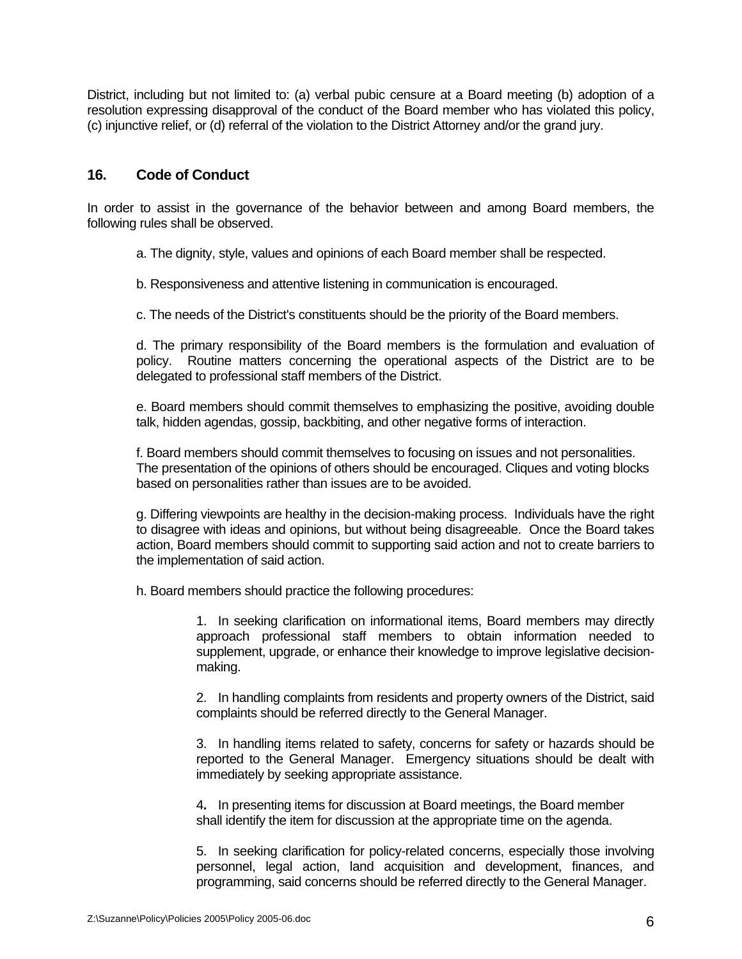District, including but not limited to: (a) verbal pubic censure at a Board meeting (b) adoption of a resolution expressing disapproval of the conduct of the Board member who has violated this policy, (c) injunctive relief, or (d) referral of the violation to the District Attorney and/or the grand jury.

#### **16. Code of Conduct**

In order to assist in the governance of the behavior between and among Board members, the following rules shall be observed.

a. The dignity, style, values and opinions of each Board member shall be respected.

b. Responsiveness and attentive listening in communication is encouraged.

c. The needs of the District's constituents should be the priority of the Board members.

 d. The primary responsibility of the Board members is the formulation and evaluation of policy. Routine matters concerning the operational aspects of the District are to be delegated to professional staff members of the District.

 e. Board members should commit themselves to emphasizing the positive, avoiding double talk, hidden agendas, gossip, backbiting, and other negative forms of interaction.

 f. Board members should commit themselves to focusing on issues and not personalities. The presentation of the opinions of others should be encouraged. Cliques and voting blocks based on personalities rather than issues are to be avoided.

 g. Differing viewpoints are healthy in the decision-making process. Individuals have the right to disagree with ideas and opinions, but without being disagreeable. Once the Board takes action, Board members should commit to supporting said action and not to create barriers to the implementation of said action.

h. Board members should practice the following procedures:

 1. In seeking clarification on informational items, Board members may directly approach professional staff members to obtain information needed to supplement, upgrade, or enhance their knowledge to improve legislative decisionmaking.

 2. In handling complaints from residents and property owners of the District, said complaints should be referred directly to the General Manager.

 3. In handling items related to safety, concerns for safety or hazards should be reported to the General Manager. Emergency situations should be dealt with immediately by seeking appropriate assistance.

 4**.** In presenting items for discussion at Board meetings, the Board member shall identify the item for discussion at the appropriate time on the agenda.

 5. In seeking clarification for policy-related concerns, especially those involving personnel, legal action, land acquisition and development, finances, and programming, said concerns should be referred directly to the General Manager.